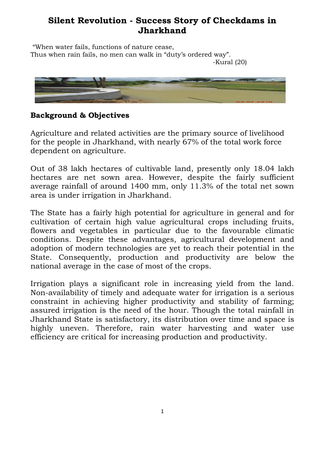## **Silent Revolution - Success Story of Checkdams in Jharkhand**

"When water fails, functions of nature cease, Thus when rain fails, no men can walk in "duty's ordered way". -Kural (20)



**Background & Objectives**

Agriculture and related activities are the primary source of livelihood for the people in Jharkhand, with nearly 67% of the total work force dependent on agriculture.

Out of 38 lakh hectares of cultivable land, presently only 18.04 lakh hectares are net sown area. However, despite the fairly sufficient average rainfall of around 1400 mm, only 11.3% of the total net sown area is under irrigation in Jharkhand.

The State has a fairly high potential for agriculture in general and for cultivation of certain high value agricultural crops including fruits, flowers and vegetables in particular due to the favourable climatic conditions. Despite these advantages, agricultural development and adoption of modern technologies are yet to reach their potential in the State. Consequently, production and productivity are below the national average in the case of most of the crops.

Irrigation plays a significant role in increasing yield from the land. Non-availability of timely and adequate water for irrigation is a serious constraint in achieving higher productivity and stability of farming; assured irrigation is the need of the hour. Though the total rainfall in Jharkhand State is satisfactory, its distribution over time and space is highly uneven. Therefore, rain water harvesting and water use efficiency are critical for increasing production and productivity.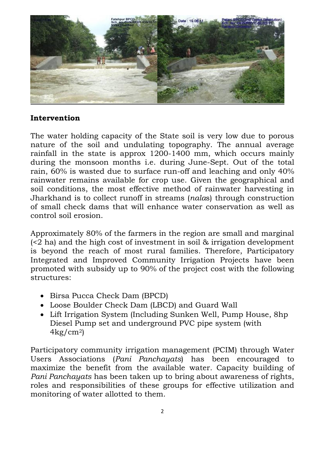

## **Intervention**

The water holding capacity of the State soil is very low due to porous nature of the soil and undulating topography. The annual average rainfall in the state is approx 1200-1400 mm, which occurs mainly during the monsoon months i.e. during June-Sept. Out of the total rain, 60% is wasted due to surface run-off and leaching and only 40% rainwater remains available for crop use. Given the geographical and soil conditions, the most effective method of rainwater harvesting in Jharkhand is to collect runoff in streams (*nala*s) through construction of small check dams that will enhance water conservation as well as control soil erosion.

Approximately 80% of the farmers in the region are small and marginal (<2 ha) and the high cost of investment in soil & irrigation development is beyond the reach of most rural families. Therefore, Participatory Integrated and Improved Community Irrigation Projects have been promoted with subsidy up to 90% of the project cost with the following structures:

- Birsa Pucca Check Dam (BPCD)
- Loose Boulder Check Dam (LBCD) and Guard Wall
- Lift Irrigation System (Including Sunken Well, Pump House, 8hp Diesel Pump set and underground PVC pipe system (with  $4kg/cm<sup>2</sup>$ )

Participatory community irrigation management (PCIM) through Water Users Associations (*Pani Panchayats*) has been encouraged to maximize the benefit from the available water*.* Capacity building of *Pani Panchayats* has been taken up to bring about awareness of rights, roles and responsibilities of these groups for effective utilization and monitoring of water allotted to them.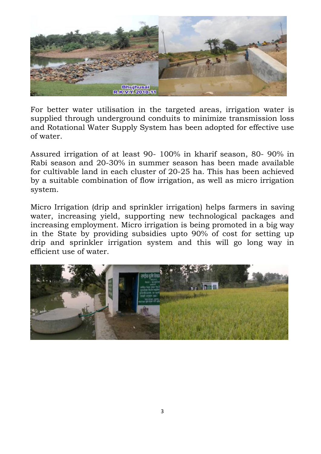

For better water utilisation in the targeted areas, irrigation water is supplied through underground conduits to minimize transmission loss and Rotational Water Supply System has been adopted for effective use of water.

Assured irrigation of at least 90- 100% in kharif season, 80- 90% in Rabi season and 20-30% in summer season has been made available for cultivable land in each cluster of 20-25 ha. This has been achieved by a suitable combination of flow irrigation, as well as micro irrigation system.

Micro Irrigation (drip and sprinkler irrigation) helps farmers in saving water, increasing yield, supporting new technological packages and increasing employment. Micro irrigation is being promoted in a big way in the State by providing subsidies upto 90% of cost for setting up drip and sprinkler irrigation system and this will go long way in efficient use of water.

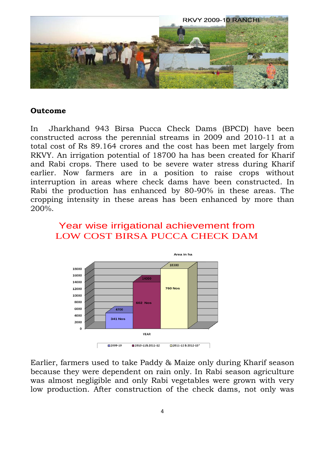

## **Outcome**

In Jharkhand 943 Birsa Pucca Check Dams (BPCD) have been constructed across the perennial streams in 2009 and 2010-11 at a total cost of Rs 89.164 crores and the cost has been met largely from RKVY. An irrigation potential of 18700 ha has been created for Kharif and Rabi crops. There used to be severe water stress during Kharif earlier. Now farmers are in a position to raise crops without interruption in areas where check dams have been constructed. In Rabi the production has enhanced by 80-90% in these areas. The cropping intensity in these areas has been enhanced by more than 200%.

## Year wise irrigational achievement from LOW COST BIRSA PUCCA CHECK DAM



Earlier, farmers used to take Paddy & Maize only during Kharif season because they were dependent on rain only. In Rabi season agriculture was almost negligible and only Rabi vegetables were grown with very low production. After construction of the check dams, not only was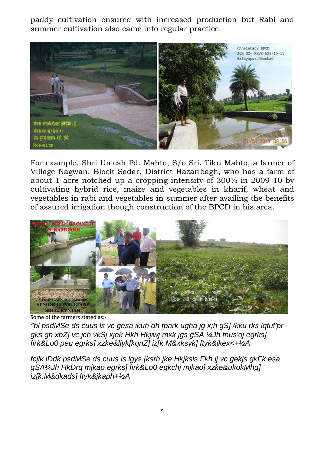paddy cultivation ensured with increased production but Rabi and summer cultivation also came into regular practice.



For example, Shri Umesh Pd. Mahto, S/o Sri. Tiku Mahto, a farmer of Village Nagwan, Block Sadar, District Hazaribagh, who has a farm of about 1 acre notched up a cropping intensity of 300% in 2009-10 by cultivating hybrid rice, maize and vegetables in kharif, wheat and vegetables in rabi and vegetables in summer after availing the benefits of assured irrigation though construction of the BPCD in his area.



Some of the farmers stated as:-

*"bl psdMSe ds cuus ls vc gesa ikuh dh fpark ugha jg x;h gS] /kku rks lqfuf'pr gks gh xbZ] vc jch vkSj xjek Hkh Hkjiwj mxk jgs gSA ¼Jh fnus'oj egrks] firk&Lo0 peu egrks] xzke&ljyk[kqnZ] iz[k.M&xksyk] ftyk&jkex<+½A*

*fcjlk iDdk psdMSe ds cuus ls igys [ksrh jke Hkjksls Fkh ij vc gekjs gkFk esa gSA¼Jh HkDrq mjkao egrks] firk&Lo0 egkchj mjkao] xzke&ukokMhg] iz[k.M&dkads] ftyk&jkaph+½A*